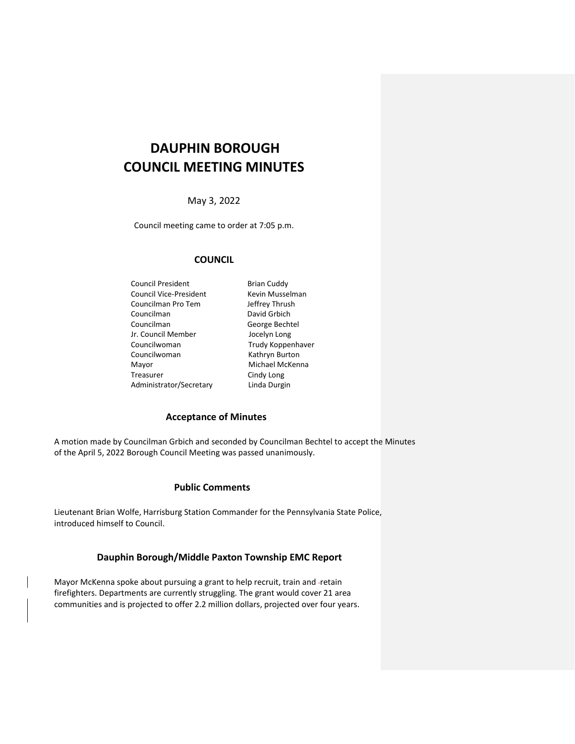# **DAUPHIN BOROUGH COUNCIL MEETING MINUTES**

May 3, 2022

Council meeting came to order at 7:05 p.m.

# **COUNCIL**

Council President **Brian Cuddy**<br> **Council Vice-President** Kevin Musselman Council Vice-President Councilman Pro Tem Jeffrey Thrush Councilman David Grbich Councilman George Bechtel Jr. Council Member Jocelyn Long Councilwoman Trudy Koppenhaver Councilwoman Kathryn Burton Mayor Michael McKenna Treasurer Cindy Long Administrator/Secretary Linda Durgin

## **Acceptance of Minutes**

A motion made by Councilman Grbich and seconded by Councilman Bechtel to accept the Minutes of the April 5, 2022 Borough Council Meeting was passed unanimously.

## **Public Comments**

Lieutenant Brian Wolfe, Harrisburg Station Commander for the Pennsylvania State Police, introduced himself to Council.

## **Dauphin Borough/Middle Paxton Township EMC Report**

Mayor McKenna spoke about pursuing a grant to help recruit, train and -retain firefighters. Departments are currently struggling. The grant would cover 21 area communities and is projected to offer 2.2 million dollars, projected over four years.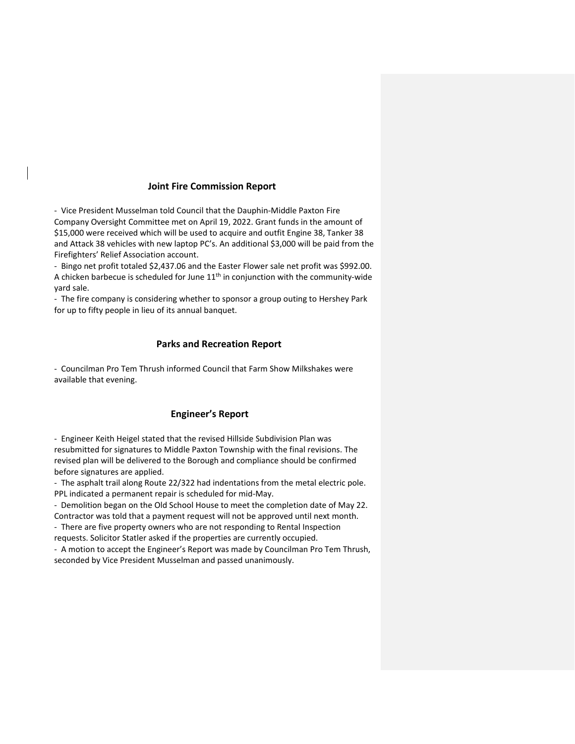## **Joint Fire Commission Report**

- Vice President Musselman told Council that the Dauphin-Middle Paxton Fire Company Oversight Committee met on April 19, 2022. Grant funds in the amount of \$15,000 were received which will be used to acquire and outfit Engine 38, Tanker 38 and Attack 38 vehicles with new laptop PC's. An additional \$3,000 will be paid from the Firefighters' Relief Association account.

- Bingo net profit totaled \$2,437.06 and the Easter Flower sale net profit was \$992.00. A chicken barbecue is scheduled for June  $11<sup>th</sup>$  in conjunction with the community-wide yard sale.

- The fire company is considering whether to sponsor a group outing to Hershey Park for up to fifty people in lieu of its annual banquet.

## **Parks and Recreation Report**

- Councilman Pro Tem Thrush informed Council that Farm Show Milkshakes were available that evening.

# **Engineer's Report**

- Engineer Keith Heigel stated that the revised Hillside Subdivision Plan was resubmitted for signatures to Middle Paxton Township with the final revisions. The revised plan will be delivered to the Borough and compliance should be confirmed before signatures are applied.

- The asphalt trail along Route 22/322 had indentations from the metal electric pole. PPL indicated a permanent repair is scheduled for mid-May.

- Demolition began on the Old School House to meet the completion date of May 22.

Contractor was told that a payment request will not be approved until next month. - There are five property owners who are not responding to Rental Inspection

requests. Solicitor Statler asked if the properties are currently occupied.

- A motion to accept the Engineer's Report was made by Councilman Pro Tem Thrush, seconded by Vice President Musselman and passed unanimously.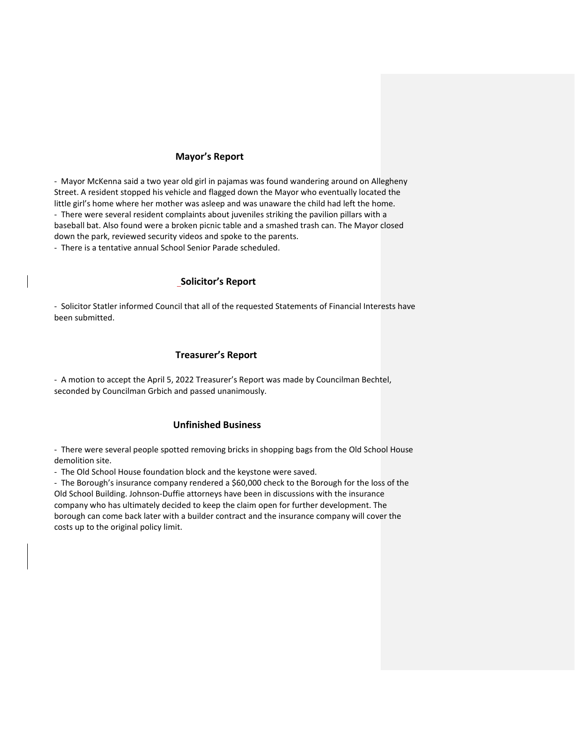## **Mayor's Report**

- Mayor McKenna said a two year old girl in pajamas was found wandering around on Allegheny Street. A resident stopped his vehicle and flagged down the Mayor who eventually located the little girl's home where her mother was asleep and was unaware the child had left the home. - There were several resident complaints about juveniles striking the pavilion pillars with a baseball bat. Also found were a broken picnic table and a smashed trash can. The Mayor closed down the park, reviewed security videos and spoke to the parents.

- There is a tentative annual School Senior Parade scheduled.

#### **Solicitor's Report**

- Solicitor Statler informed Council that all of the requested Statements of Financial Interests have been submitted.

## **Treasurer's Report**

- A motion to accept the April 5, 2022 Treasurer's Report was made by Councilman Bechtel, seconded by Councilman Grbich and passed unanimously.

#### **Unfinished Business**

- There were several people spotted removing bricks in shopping bags from the Old School House demolition site.

- The Old School House foundation block and the keystone were saved.

- The Borough's insurance company rendered a \$60,000 check to the Borough for the loss of the Old School Building. Johnson-Duffie attorneys have been in discussions with the insurance company who has ultimately decided to keep the claim open for further development. The borough can come back later with a builder contract and the insurance company will cover the costs up to the original policy limit.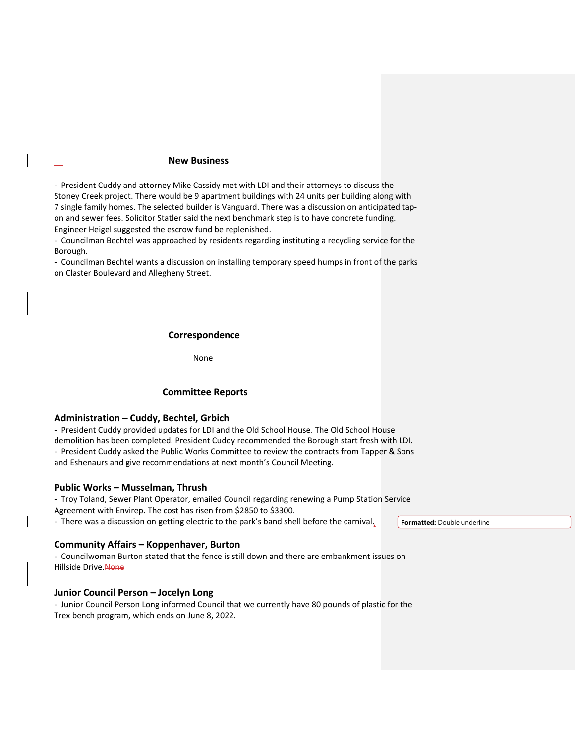## **New Business**

- President Cuddy and attorney Mike Cassidy met with LDI and their attorneys to discuss the Stoney Creek project. There would be 9 apartment buildings with 24 units per building along with 7 single family homes. The selected builder is Vanguard. There was a discussion on anticipated tapon and sewer fees. Solicitor Statler said the next benchmark step is to have concrete funding. Engineer Heigel suggested the escrow fund be replenished.

- Councilman Bechtel was approached by residents regarding instituting a recycling service for the Borough.

- Councilman Bechtel wants a discussion on installing temporary speed humps in front of the parks on Claster Boulevard and Allegheny Street.

#### **Correspondence**

**None and Service State Service State Service State Service State State Service State State State State State S** 

## **Committee Reports**

## **Administration – Cuddy, Bechtel, Grbich**

- President Cuddy provided updates for LDI and the Old School House. The Old School House demolition has been completed. President Cuddy recommended the Borough start fresh with LDI. - President Cuddy asked the Public Works Committee to review the contracts from Tapper & Sons and Eshenaurs and give recommendations at next month's Council Meeting.

#### **Public Works – Musselman, Thrush**

- Troy Toland, Sewer Plant Operator, emailed Council regarding renewing a Pump Station Service Agreement with Envirep. The cost has risen from \$2850 to \$3300.

- There was a discussion on getting electric to the park's band shell before the carnival. **Formatted:** Double underline

#### **Community Affairs – Koppenhaver, Burton**

- Councilwoman Burton stated that the fence is still down and there are embankment issues on Hillside Drive. None

#### **Junior Council Person – Jocelyn Long**

- Junior Council Person Long informed Council that we currently have 80 pounds of plastic for the Trex bench program, which ends on June 8, 2022.